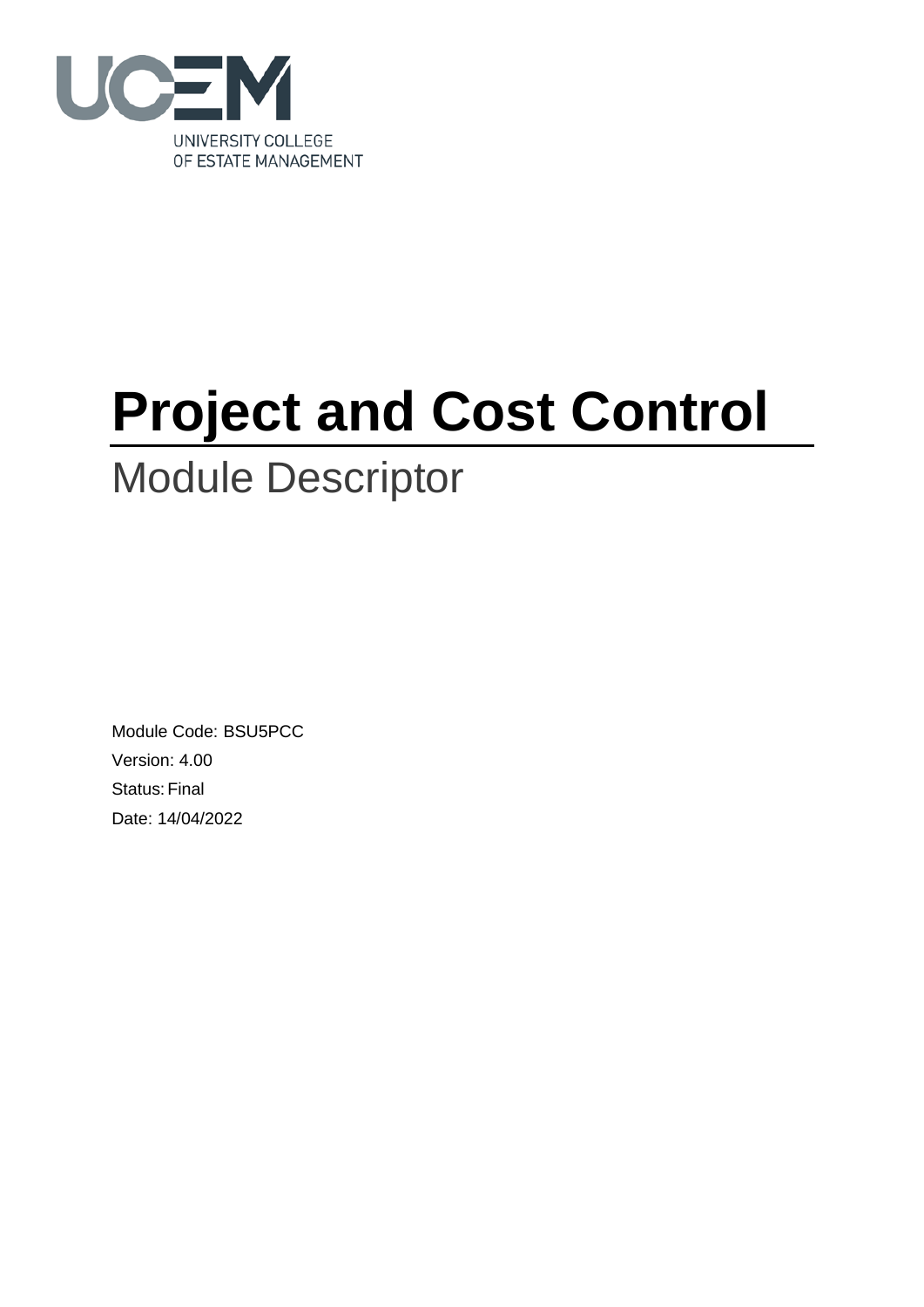

# **Project and Cost Control**

## Module Descriptor

Module Code: BSU5PCC Version: 4.00 Status: Final Date: 14/04/2022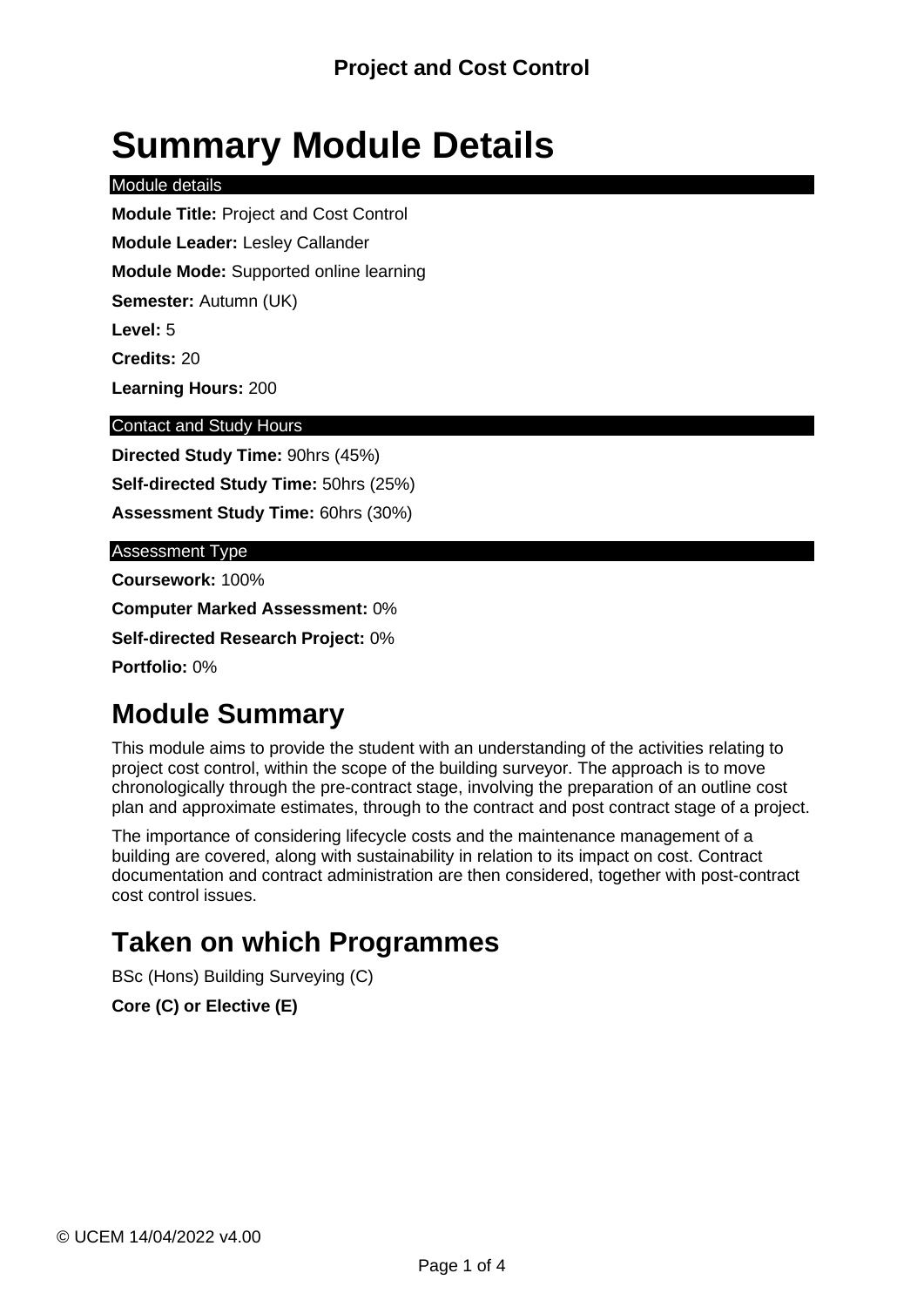## **Summary Module Details**

Module details

**Module Title:** Project and Cost Control **Module Leader:** Lesley Callander

**Module Mode:** Supported online learning

**Semester:** Autumn (UK)

**Level:** 5

**Credits:** 20

**Learning Hours:** 200

#### Contact and Study Hours

**Directed Study Time:** 90hrs (45%) **Self-directed Study Time:** 50hrs (25%) **Assessment Study Time:** 60hrs (30%)

#### Assessment Type

**Coursework:** 100%

**Computer Marked Assessment:** 0%

**Self-directed Research Project:** 0%

**Portfolio:** 0%

### **Module Summary**

This module aims to provide the student with an understanding of the activities relating to project cost control, within the scope of the building surveyor. The approach is to move chronologically through the pre-contract stage, involving the preparation of an outline cost plan and approximate estimates, through to the contract and post contract stage of a project.

The importance of considering lifecycle costs and the maintenance management of a building are covered, along with sustainability in relation to its impact on cost. Contract documentation and contract administration are then considered, together with post-contract cost control issues.

### **Taken on which Programmes**

BSc (Hons) Building Surveying (C)

**Core (C) or Elective (E)**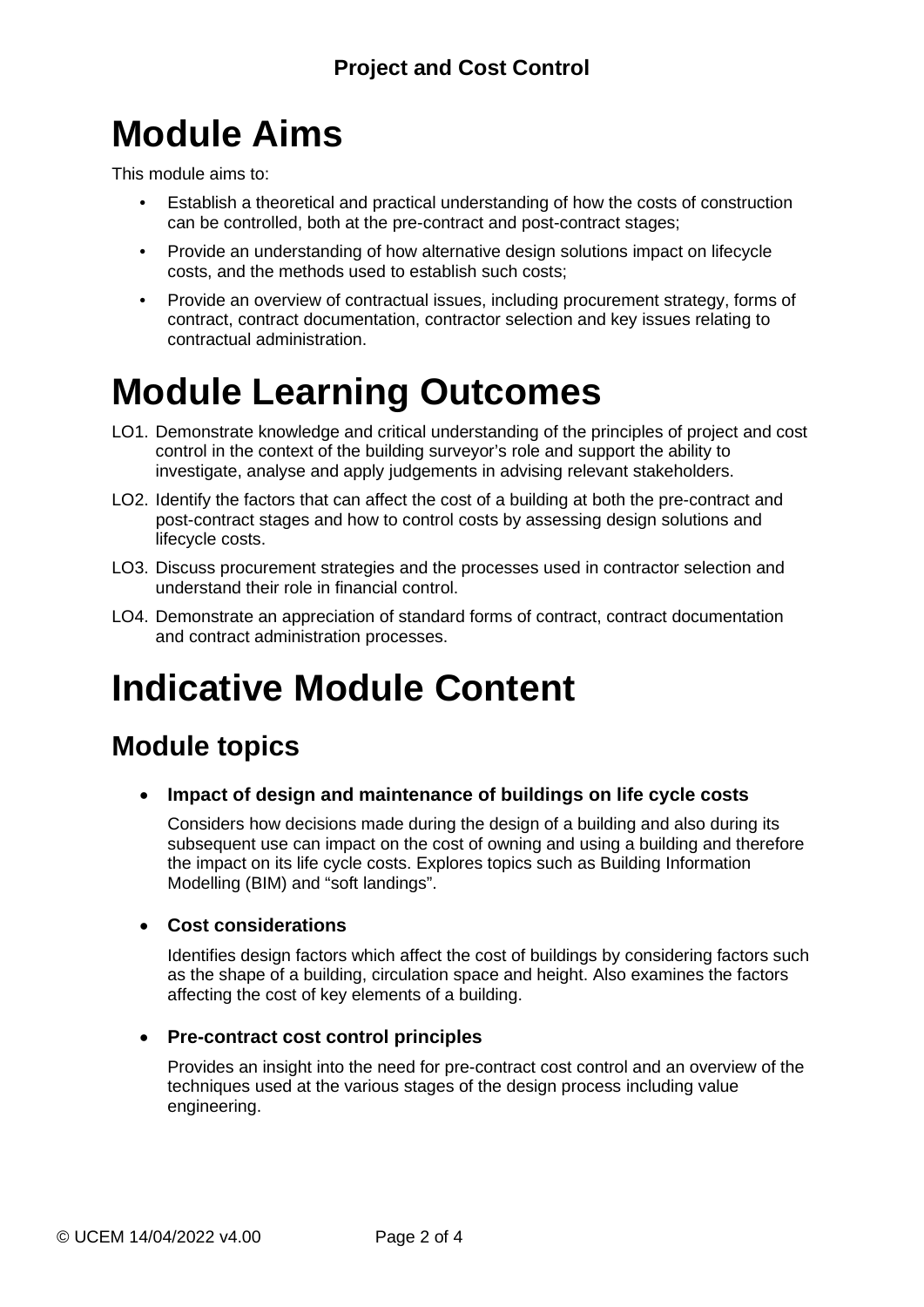## **Module Aims**

This module aims to:

- Establish a theoretical and practical understanding of how the costs of construction can be controlled, both at the pre-contract and post-contract stages;
- Provide an understanding of how alternative design solutions impact on lifecycle costs, and the methods used to establish such costs;
- Provide an overview of contractual issues, including procurement strategy, forms of contract, contract documentation, contractor selection and key issues relating to contractual administration.

## **Module Learning Outcomes**

- LO1. Demonstrate knowledge and critical understanding of the principles of project and cost control in the context of the building surveyor's role and support the ability to investigate, analyse and apply judgements in advising relevant stakeholders.
- LO2. Identify the factors that can affect the cost of a building at both the pre-contract and post-contract stages and how to control costs by assessing design solutions and lifecycle costs.
- LO3. Discuss procurement strategies and the processes used in contractor selection and understand their role in financial control.
- LO4. Demonstrate an appreciation of standard forms of contract, contract documentation and contract administration processes.

## **Indicative Module Content**

### **Module topics**

• **Impact of design and maintenance of buildings on life cycle costs**

Considers how decisions made during the design of a building and also during its subsequent use can impact on the cost of owning and using a building and therefore the impact on its life cycle costs. Explores topics such as Building Information Modelling (BIM) and "soft landings".

#### • **Cost considerations**

Identifies design factors which affect the cost of buildings by considering factors such as the shape of a building, circulation space and height. Also examines the factors affecting the cost of key elements of a building.

#### • **Pre-contract cost control principles**

Provides an insight into the need for pre-contract cost control and an overview of the techniques used at the various stages of the design process including value engineering.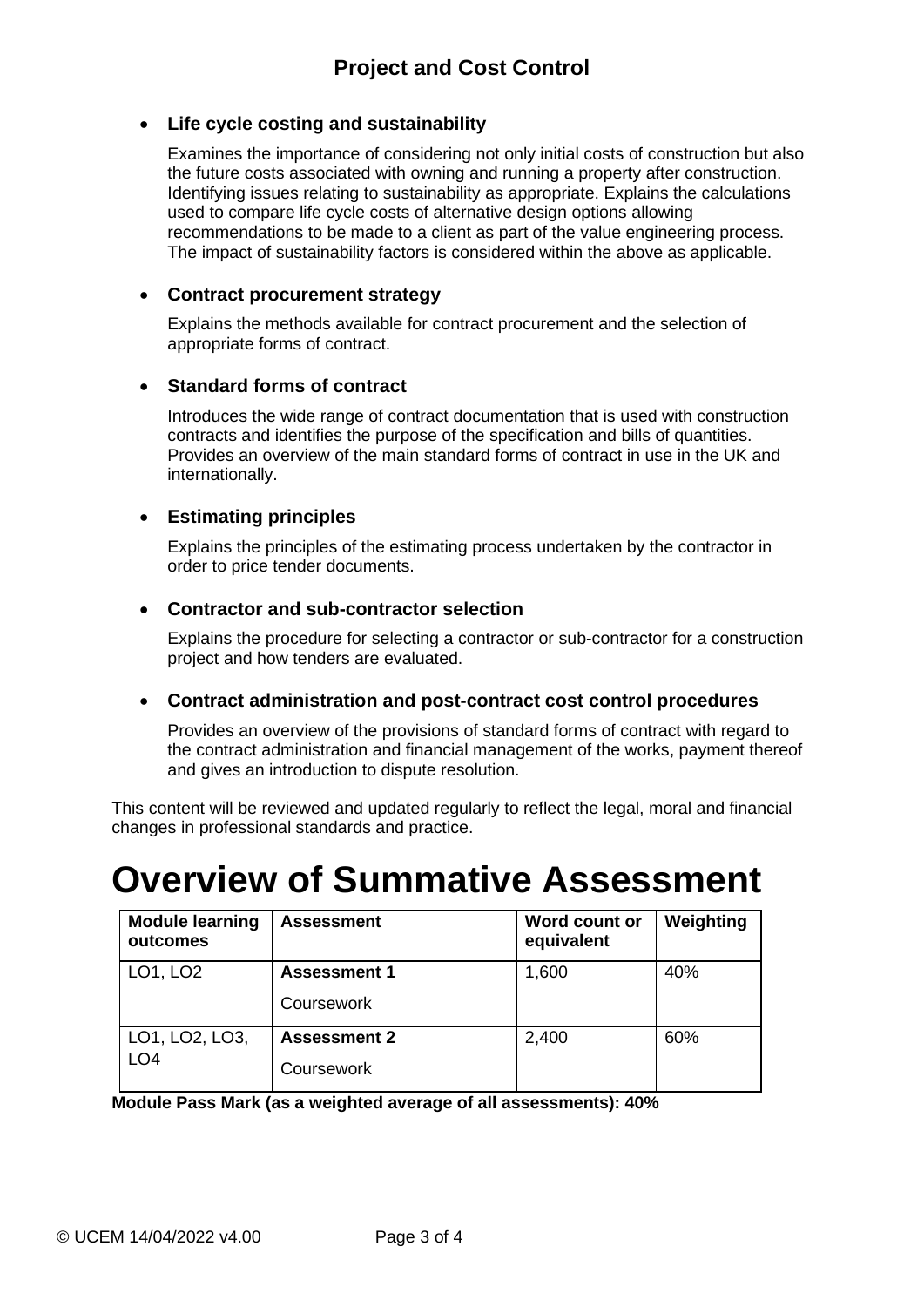#### • **Life cycle costing and sustainability**

Examines the importance of considering not only initial costs of construction but also the future costs associated with owning and running a property after construction. Identifying issues relating to sustainability as appropriate. Explains the calculations used to compare life cycle costs of alternative design options allowing recommendations to be made to a client as part of the value engineering process. The impact of sustainability factors is considered within the above as applicable.

#### • **Contract procurement strategy**

Explains the methods available for contract procurement and the selection of appropriate forms of contract.

#### • **Standard forms of contract**

Introduces the wide range of contract documentation that is used with construction contracts and identifies the purpose of the specification and bills of quantities. Provides an overview of the main standard forms of contract in use in the UK and internationally.

#### • **Estimating principles**

Explains the principles of the estimating process undertaken by the contractor in order to price tender documents.

#### • **Contractor and sub-contractor selection**

Explains the procedure for selecting a contractor or sub-contractor for a construction project and how tenders are evaluated.

#### • **Contract administration and post-contract cost control procedures**

Provides an overview of the provisions of standard forms of contract with regard to the contract administration and financial management of the works, payment thereof and gives an introduction to dispute resolution.

This content will be reviewed and updated regularly to reflect the legal, moral and financial changes in professional standards and practice.

## **Overview of Summative Assessment**

| <b>Module learning</b><br>outcomes | <b>Assessment</b>   | Word count or<br>equivalent | Weighting |
|------------------------------------|---------------------|-----------------------------|-----------|
| LO1, LO2                           | <b>Assessment 1</b> | 1,600                       | 40%       |
|                                    | Coursework          |                             |           |
| LO1, LO2, LO3,<br>LO <sub>4</sub>  | <b>Assessment 2</b> | 2,400                       | 60%       |
|                                    | Coursework          |                             |           |

**Module Pass Mark (as a weighted average of all assessments): 40%**